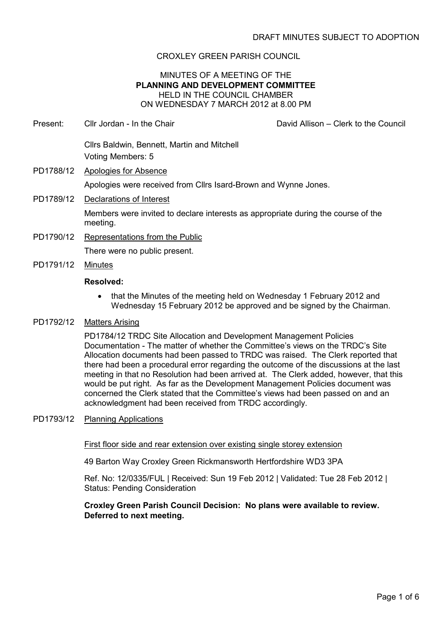# CROXLEY GREEN PARISH COUNCIL

## MINUTES OF A MEETING OF THE PLANNING AND DEVELOPMENT COMMITTEE HELD IN THE COUNCIL CHAMBER ON WEDNESDAY 7 MARCH 2012 at 8.00 PM

- Present: Cllr Jordan In the Chair David Allison Clerk to the Council Cllrs Baldwin, Bennett, Martin and Mitchell Voting Members: 5 PD1788/12 Apologies for Absence Apologies were received from Cllrs Isard-Brown and Wynne Jones. PD1789/12 Declarations of Interest Members were invited to declare interests as appropriate during the course of the meeting. PD1790/12 Representations from the Public There were no public present.
- PD1791/12 Minutes

#### Resolved:

• that the Minutes of the meeting held on Wednesday 1 February 2012 and Wednesday 15 February 2012 be approved and be signed by the Chairman.

#### PD1792/12 Matters Arising

PD1784/12 TRDC Site Allocation and Development Management Policies Documentation - The matter of whether the Committee's views on the TRDC's Site Allocation documents had been passed to TRDC was raised. The Clerk reported that there had been a procedural error regarding the outcome of the discussions at the last meeting in that no Resolution had been arrived at. The Clerk added, however, that this would be put right. As far as the Development Management Policies document was concerned the Clerk stated that the Committee's views had been passed on and an acknowledgment had been received from TRDC accordingly.

#### PD1793/12 Planning Applications

#### First floor side and rear extension over existing single storey extension

49 Barton Way Croxley Green Rickmansworth Hertfordshire WD3 3PA

Ref. No: 12/0335/FUL | Received: Sun 19 Feb 2012 | Validated: Tue 28 Feb 2012 | Status: Pending Consideration

## Croxley Green Parish Council Decision: No plans were available to review. Deferred to next meeting.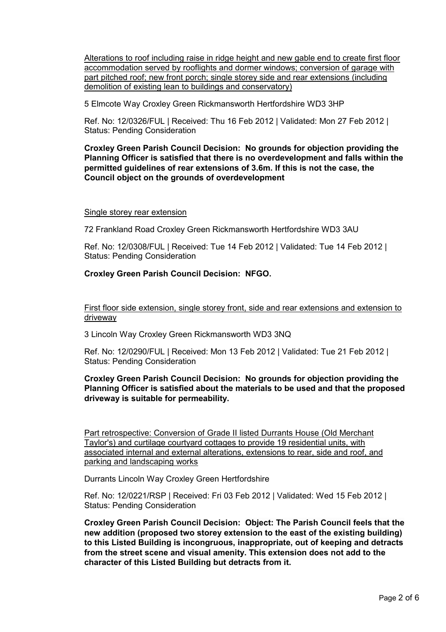Alterations to roof including raise in ridge height and new gable end to create first floor accommodation served by rooflights and dormer windows; conversion of garage with part pitched roof; new front porch; single storey side and rear extensions (including demolition of existing lean to buildings and conservatory)

5 Elmcote Way Croxley Green Rickmansworth Hertfordshire WD3 3HP

Ref. No: 12/0326/FUL | Received: Thu 16 Feb 2012 | Validated: Mon 27 Feb 2012 | Status: Pending Consideration

Croxley Green Parish Council Decision: No grounds for objection providing the Planning Officer is satisfied that there is no overdevelopment and falls within the permitted guidelines of rear extensions of 3.6m. If this is not the case, the Council object on the grounds of overdevelopment

#### Single storey rear extension

72 Frankland Road Croxley Green Rickmansworth Hertfordshire WD3 3AU

Ref. No: 12/0308/FUL | Received: Tue 14 Feb 2012 | Validated: Tue 14 Feb 2012 | Status: Pending Consideration

## Croxley Green Parish Council Decision: NFGO.

First floor side extension, single storey front, side and rear extensions and extension to driveway

3 Lincoln Way Croxley Green Rickmansworth WD3 3NQ

Ref. No: 12/0290/FUL | Received: Mon 13 Feb 2012 | Validated: Tue 21 Feb 2012 | Status: Pending Consideration

## Croxley Green Parish Council Decision: No grounds for objection providing the Planning Officer is satisfied about the materials to be used and that the proposed driveway is suitable for permeability.

Part retrospective: Conversion of Grade II listed Durrants House (Old Merchant Taylor's) and curtilage courtyard cottages to provide 19 residential units, with associated internal and external alterations, extensions to rear, side and roof, and parking and landscaping works

Durrants Lincoln Way Croxley Green Hertfordshire

Ref. No: 12/0221/RSP | Received: Fri 03 Feb 2012 | Validated: Wed 15 Feb 2012 | Status: Pending Consideration

Croxley Green Parish Council Decision: Object: The Parish Council feels that the new addition (proposed two storey extension to the east of the existing building) to this Listed Building is incongruous, inappropriate, out of keeping and detracts from the street scene and visual amenity. This extension does not add to the character of this Listed Building but detracts from it.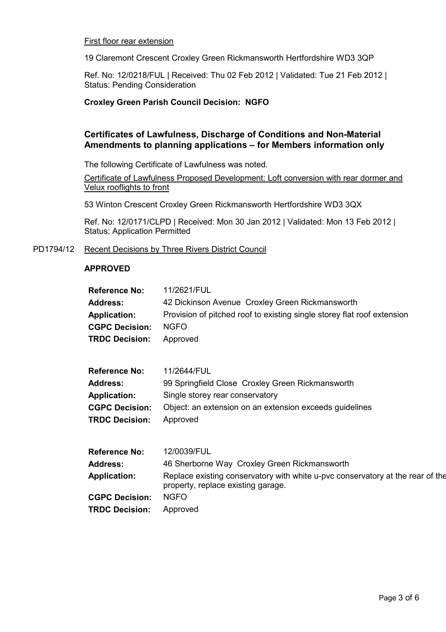#### First floor rear extension

19 Claremont Crescent Croxley Green Rickmansworth Hertfordshire WD3 3QP

Ref. No: 12/0218/FUL | Received: Thu 02 Feb 2012 | Validated: Tue 21 Feb 2012 | Status: Pending Consideration

## Croxley Green Parish Council Decision: NGFO

# Certificates of Lawfulness, Discharge of Conditions and Non-Material Amendments to planning applications – for Members information only

The following Certificate of Lawfulness was noted.

Certificate of Lawfulness Proposed Development: Loft conversion with rear dormer and Velux rooflights to front

53 Winton Crescent Croxley Green Rickmansworth Hertfordshire WD3 3QX

Ref. No: 12/0171/CLPD | Received: Mon 30 Jan 2012 | Validated: Mon 13 Feb 2012 | Status: Application Permitted

PD1794/12 Recent Decisions by Three Rivers District Council

#### APPROVED

| <b>Reference No:</b>  | 11/2621/FUL                                                                                                          |
|-----------------------|----------------------------------------------------------------------------------------------------------------------|
| <b>Address:</b>       | 42 Dickinson Avenue Croxley Green Rickmansworth                                                                      |
| <b>Application:</b>   | Provision of pitched roof to existing single storey flat roof extension                                              |
| <b>CGPC Decision:</b> | <b>NGFO</b>                                                                                                          |
| <b>TRDC Decision:</b> | Approved                                                                                                             |
| <b>Reference No:</b>  | 11/2644/FUL                                                                                                          |
| <b>Address:</b>       | 99 Springfield Close Croxley Green Rickmansworth                                                                     |
| <b>Application:</b>   | Single storey rear conservatory                                                                                      |
| <b>CGPC Decision:</b> | Object: an extension on an extension exceeds guidelines                                                              |
| <b>TRDC Decision:</b> | Approved                                                                                                             |
| <b>Reference No:</b>  | 12/0039/FUL                                                                                                          |
| <b>Address:</b>       | 46 Sherborne Way Croxley Green Rickmansworth                                                                         |
| <b>Application:</b>   | Replace existing conservatory with white u-pvc conservatory at the rear of the<br>property, replace existing garage. |
| <b>CGPC Decision:</b> | <b>NGFO</b>                                                                                                          |
| <b>TRDC Decision:</b> | Approved                                                                                                             |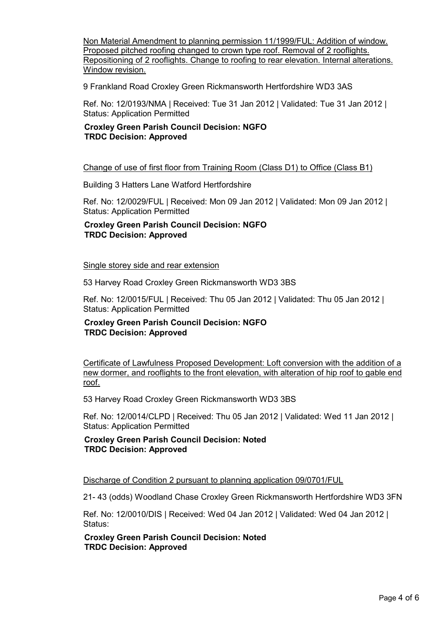Non Material Amendment to planning permission 11/1999/FUL: Addition of window. Proposed pitched roofing changed to crown type roof. Removal of 2 rooflights. Repositioning of 2 rooflights. Change to roofing to rear elevation. Internal alterations. Window revision.

9 Frankland Road Croxley Green Rickmansworth Hertfordshire WD3 3AS

Ref. No: 12/0193/NMA | Received: Tue 31 Jan 2012 | Validated: Tue 31 Jan 2012 | Status: Application Permitted

Croxley Green Parish Council Decision: NGFO TRDC Decision: Approved

Change of use of first floor from Training Room (Class D1) to Office (Class B1)

Building 3 Hatters Lane Watford Hertfordshire

Ref. No: 12/0029/FUL | Received: Mon 09 Jan 2012 | Validated: Mon 09 Jan 2012 | Status: Application Permitted

#### Croxley Green Parish Council Decision: NGFO TRDC Decision: Approved

Single storey side and rear extension

53 Harvey Road Croxley Green Rickmansworth WD3 3BS

Ref. No: 12/0015/FUL | Received: Thu 05 Jan 2012 | Validated: Thu 05 Jan 2012 | Status: Application Permitted

#### Croxley Green Parish Council Decision: NGFO TRDC Decision: Approved

Certificate of Lawfulness Proposed Development: Loft conversion with the addition of a new dormer, and rooflights to the front elevation, with alteration of hip roof to gable end roof.

53 Harvey Road Croxley Green Rickmansworth WD3 3BS

Ref. No: 12/0014/CLPD | Received: Thu 05 Jan 2012 | Validated: Wed 11 Jan 2012 | Status: Application Permitted

Croxley Green Parish Council Decision: Noted TRDC Decision: Approved

Discharge of Condition 2 pursuant to planning application 09/0701/FUL

21- 43 (odds) Woodland Chase Croxley Green Rickmansworth Hertfordshire WD3 3FN

Ref. No: 12/0010/DIS | Received: Wed 04 Jan 2012 | Validated: Wed 04 Jan 2012 | Status:

Croxley Green Parish Council Decision: Noted TRDC Decision: Approved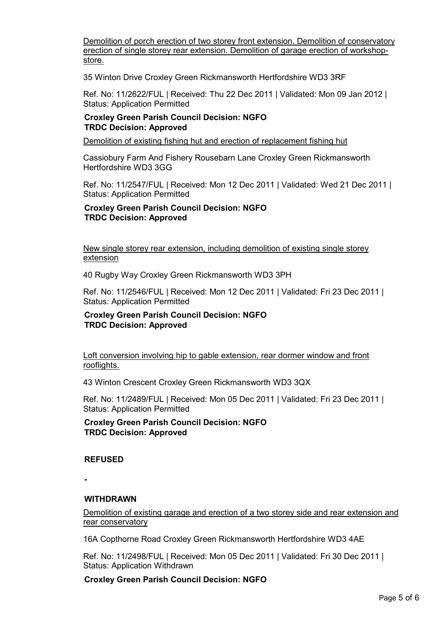Demolition of porch erection of two storey front extension. Demolition of conservatory erection of single storey rear extension. Demolition of garage erection of workshopstore.

35 Winton Drive Croxley Green Rickmansworth Hertfordshire WD3 3RF

Ref. No: 11/2622/FUL | Received: Thu 22 Dec 2011 | Validated: Mon 09 Jan 2012 | Status: Application Permitted

## Croxley Green Parish Council Decision: NGFO TRDC Decision: Approved

Demolition of existing fishing hut and erection of replacement fishing hut

Cassiobury Farm And Fishery Rousebarn Lane Croxley Green Rickmansworth Hertfordshire WD3 3GG

Ref. No: 11/2547/FUL | Received: Mon 12 Dec 2011 | Validated: Wed 21 Dec 2011 | Status: Application Permitted

Croxley Green Parish Council Decision: NGFO TRDC Decision: Approved

New single storey rear extension, including demolition of existing single storey extension

40 Rugby Way Croxley Green Rickmansworth WD3 3PH

Ref. No: 11/2546/FUL | Received: Mon 12 Dec 2011 | Validated: Fri 23 Dec 2011 | Status: Application Permitted

## Croxley Green Parish Council Decision: NGFO TRDC Decision: Approved

Loft conversion involving hip to gable extension, rear dormer window and front rooflights.

43 Winton Crescent Croxley Green Rickmansworth WD3 3QX

Ref. No: 11/2489/FUL | Received: Mon 05 Dec 2011 | Validated: Fri 23 Dec 2011 | Status: Application Permitted

Croxley Green Parish Council Decision: NGFO TRDC Decision: Approved

## REFUSED

-

## WITHDRAWN

Demolition of existing garage and erection of a two storey side and rear extension and rear conservatory

16A Copthorne Road Croxley Green Rickmansworth Hertfordshire WD3 4AE

Ref. No: 11/2498/FUL | Received: Mon 05 Dec 2011 | Validated: Fri 30 Dec 2011 | Status: Application Withdrawn

Croxley Green Parish Council Decision: NGFO